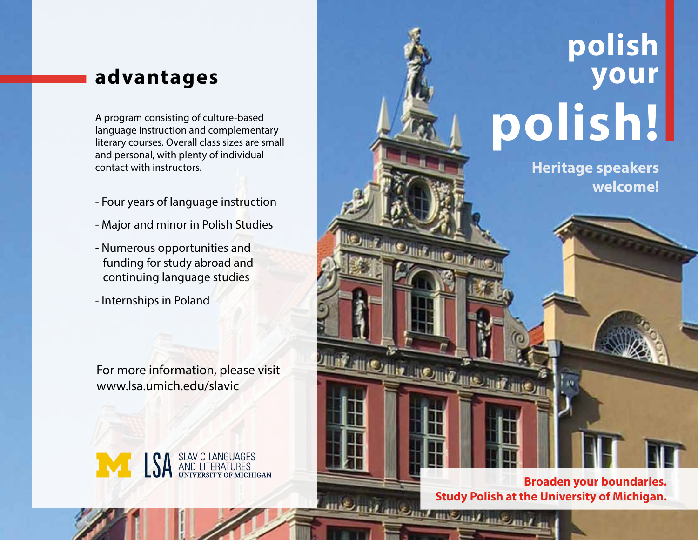## **advantages**

language instruction and complementary literary courses. Overall class sizes are small and personal, with plenty of individual contact with instructors.

- Four years of language instruction
- Major and minor in Polish Studies
- Numerous opportunities and funding for study abroad and continuing language studies
- Internships in Poland

For more information, please visit www.lsa.umich.edu/slavic



## **polish your**  A program consisting of culture-based<br>
language instruction and complementary<br>
literary courses. Overall class sizes are small

**Heritage speakers welcome!**

**BE IN COUNTY INTO THE PARTY.** 

**Broaden your boundaries. Study Polish at the University of Michigan.**<br> **Study Polish at the University of Michigan.**